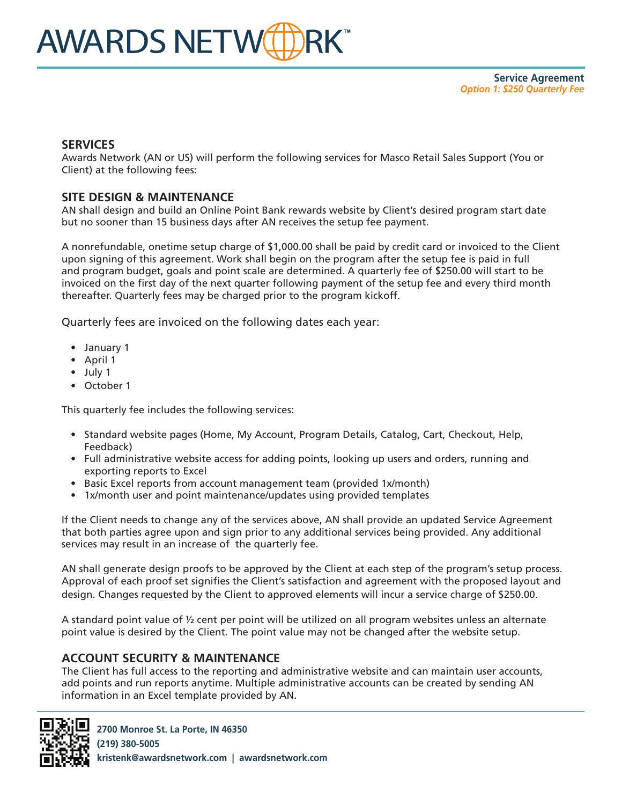## **SERVICES**

Awards Network (AN or US) will perform the following services for Masco Retail Sales Support (You or Client) at the following fees:

# **SITE DESIGN & MAINTENANCE**

AN shall design and build an Online Point Bank rewards website by Client's desired program start date but no sooner than 15 business days after AN receives the setup fee payment.

A nonrefundable, onetime setup charge of \$1,000.00 shall be paid by credit card or invoiced to the Client upon signing of this agreement. Work shall begin on the program after the setup fee is paid in full and program budget, goals and point scale are determined. A quarterly fee of \$250.00 will start to be invoiced on the first day of the next quarter following payment of the setup fee and every third month thereafter. Quarterly fees may be charged prior to the program kickoff.

Quarterly fees are invoiced on the following dates each year:

- January 1
- April 1
- July 1
- October 1

This quarterly fee includes the following services:

- Standard website pages (Home, My Account, Program Details, Catalog, Cart, Checkout, Help, Feedback)
- Full administrative website access for adding points, looking up users and orders, running and exporting reports to Excel
- Basic Excel reports from account management team (provided 1x/month)
- 1x/month user and point maintenance/updates using provided templates

If the Client needs to change any of the services above, AN shall provide an updated Service Agreement that both parties agree upon and sign prior to any additional services being provided. Any additional services may result in an increase of the quarterly fee.

AN shall generate design proofs to be approved by the Client at each step of the program's setup process. Approval of each proof set signifies the Client's satisfaction and agreement with the proposed layout and design. Changes requested by the Client to approved elements will incur a service charge of \$250.00.

A standard point value of ½ cent per point will be utilized on all program websites unless an alternate point value is desired by the Client. The point value may not be changed after the website setup.

#### **ACCOUNT SECURITY & MAINTENANCE**

The Client has full access to the reporting and administrative website and can maintain user accounts, add points and run reports anytime. Multiple administrative accounts can be created by sending AN information in an Excel template provided by AN.

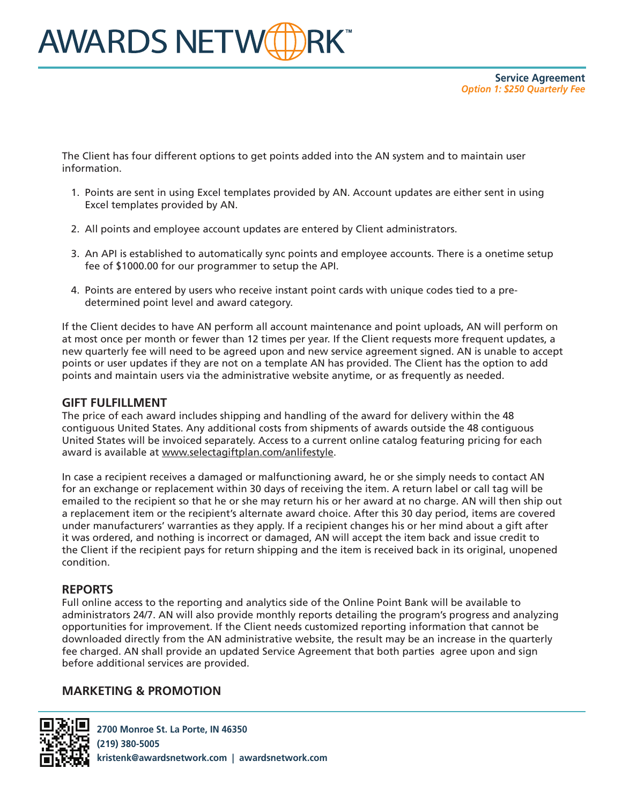The Client has four different options to get points added into the AN system and to maintain user information.

- 1. Points are sent in using Excel templates provided by AN. Account updates are either sent in using Excel templates provided by AN.
- 2. All points and employee account updates are entered by Client administrators.
- 3. An API is established to automatically sync points and employee accounts. There is a onetime setup fee of \$1000.00 for our programmer to setup the API.
- 4. Points are entered by users who receive instant point cards with unique codes tied to a predetermined point level and award category.

If the Client decides to have AN perform all account maintenance and point uploads, AN will perform on at most once per month or fewer than 12 times per year. If the Client requests more frequent updates, a new quarterly fee will need to be agreed upon and new service agreement signed. AN is unable to accept points or user updates if they are not on a template AN has provided. The Client has the option to add points and maintain users via the administrative website anytime, or as frequently as needed.

#### **GIFT FULFILLMENT**

The price of each award includes shipping and handling of the award for delivery within the 48 contiguous United States. Any additional costs from shipments of awards outside the 48 contiguous United States will be invoiced separately. Access to a current online catalog featuring pricing for each award is available at www.selectagiftplan.com/anlifestyle.

In case a recipient receives a damaged or malfunctioning award, he or she simply needs to contact AN for an exchange or replacement within 30 days of receiving the item. A return label or call tag will be emailed to the recipient so that he or she may return his or her award at no charge. AN will then ship out a replacement item or the recipient's alternate award choice. After this 30 day period, items are covered under manufacturers' warranties as they apply. If a recipient changes his or her mind about a gift after it was ordered, and nothing is incorrect or damaged, AN will accept the item back and issue credit to the Client if the recipient pays for return shipping and the item is received back in its original, unopened condition.

### **REPORTS**

Full online access to the reporting and analytics side of the Online Point Bank will be available to administrators 24/7. AN will also provide monthly reports detailing the program's progress and analyzing opportunities for improvement. If the Client needs customized reporting information that cannot be downloaded directly from the AN administrative website, the result may be an increase in the quarterly fee charged. AN shall provide an updated Service Agreement that both parties agree upon and sign before additional services are provided.

### **MARKETING & PROMOTION**